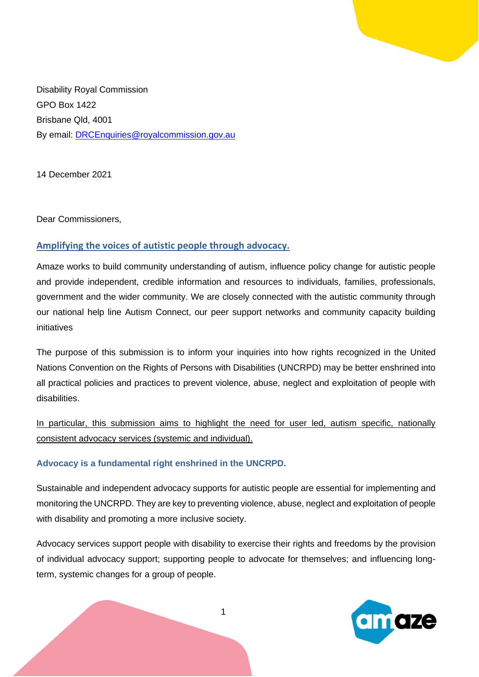

Disability Royal Commission GPO Box 1422 Brisbane Qld, 4001 By email: **DRCEnquiries@royalcommission.gov.au** 

14 December 2021

Dear Commissioners,

# **Amplifying the voices of autistic people through advocacy.**

Amaze works to build community understanding of autism, influence policy change for autistic people and provide independent, credible information and resources to individuals, families, professionals, government and the wider community. We are closely connected with the autistic community through our national help line Autism Connect, our peer support networks and community capacity building initiatives

The purpose of this submission is to inform your inquiries into how rights recognized in the United Nations Convention on the Rights of Persons with Disabilities (UNCRPD) may be better enshrined into all practical policies and practices to prevent violence, abuse, neglect and exploitation of people with disabilities.

In particular, this submission aims to highlight the need for user led, autism specific, nationally consistent advocacy services (systemic and individual).

### **Advocacy is a fundamental right enshrined in the UNCRPD.**

Sustainable and independent advocacy supports for autistic people are essential for implementing and monitoring the UNCRPD. They are key to preventing violence, abuse, neglect and exploitation of people with disability and promoting a more inclusive society.

Advocacy services support people with disability to exercise their rights and freedoms by the provision of individual advocacy support; supporting people to advocate for themselves; and influencing longterm, systemic changes for a group of people.

1

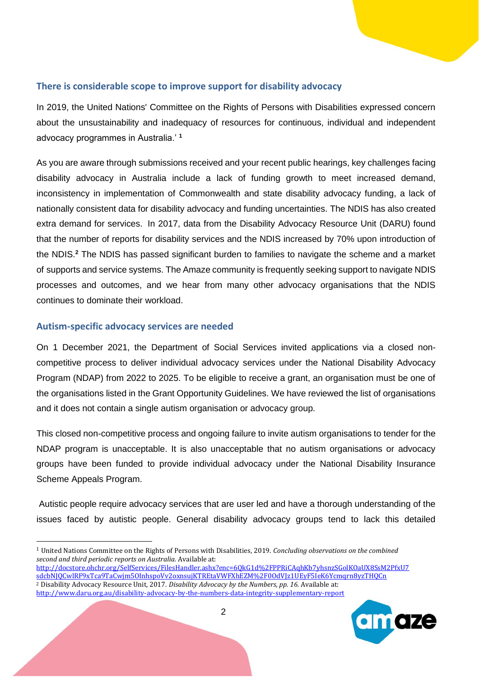## **There is considerable scope to improve support for disability advocacy**

In 2019, the United Nations' Committee on the Rights of Persons with Disabilities expressed concern about the unsustainability and inadequacy of resources for continuous, individual and independent advocacy programmes in Australia.' **<sup>1</sup>**

As you are aware through submissions received and your recent public hearings, key challenges facing disability advocacy in Australia include a lack of funding growth to meet increased demand, inconsistency in implementation of Commonwealth and state disability advocacy funding, a lack of nationally consistent data for disability advocacy and funding uncertainties. The NDIS has also created extra demand for services. In 2017, data from the Disability Advocacy Resource Unit (DARU) found that the number of reports for disability services and the NDIS increased by 70% upon introduction of the NDIS.**<sup>2</sup>** The NDIS has passed significant burden to families to navigate the scheme and a market of supports and service systems. The Amaze community is frequently seeking support to navigate NDIS processes and outcomes, and we hear from many other advocacy organisations that the NDIS continues to dominate their workload.

### **Autism-specific advocacy services are needed**

On 1 December 2021, the Department of Social Services invited applications via a closed noncompetitive process to deliver individual advocacy services under the National Disability Advocacy Program (NDAP) from 2022 to 2025. To be eligible to receive a grant, an organisation must be one of the organisations listed in the Grant Opportunity Guidelines. We have reviewed the list of organisations and it does not contain a single autism organisation or advocacy group.

This closed non-competitive process and ongoing failure to invite autism organisations to tender for the NDAP program is unacceptable. It is also unacceptable that no autism organisations or advocacy groups have been funded to provide individual advocacy under the National Disability Insurance Scheme Appeals Program.

Autistic people require advocacy services that are user led and have a thorough understanding of the issues faced by autistic people. General disability advocacy groups tend to lack this detailed

<http://www.daru.org.au/disability-advocacy-by-the-numbers-data-integrity-supplementary-report>



<sup>1</sup> United Nations Committee on the Rights of Persons with Disabilities, 2019. *Concluding observations on the combined second and third periodic reports on Australia.* Available at: [http://docstore.ohchr.org/SelfServices/FilesHandler.ashx?enc=6QkG1d%2FPPRiCAqhKb7yhsnzSGolKOaUX8SsM2PfxU7](http://docstore.ohchr.org/SelfServices/FilesHandler.ashx?enc=6QkG1d%2FPPRiCAqhKb7yhsnzSGolKOaUX8SsM2PfxU7sdcbNJQCwlRF9xTca9TaCwjm5OInhspoVv2oxnsujKTREtaVWFXhEZM%2F0OdVJz1UEyF5IeK6Ycmqrn8yzTHQCn)

[sdcbNJQCwlRF9xTca9TaCwjm5OInhspoVv2oxnsujKTREtaVWFXhEZM%2F0OdVJz1UEyF5IeK6Ycmqrn8yzTHQCn](http://docstore.ohchr.org/SelfServices/FilesHandler.ashx?enc=6QkG1d%2FPPRiCAqhKb7yhsnzSGolKOaUX8SsM2PfxU7sdcbNJQCwlRF9xTca9TaCwjm5OInhspoVv2oxnsujKTREtaVWFXhEZM%2F0OdVJz1UEyF5IeK6Ycmqrn8yzTHQCn) <sup>2</sup> Disability Advocacy Resource Unit, 2017. *Disability Advocacy by the Numbers, pp. 16.* Available at: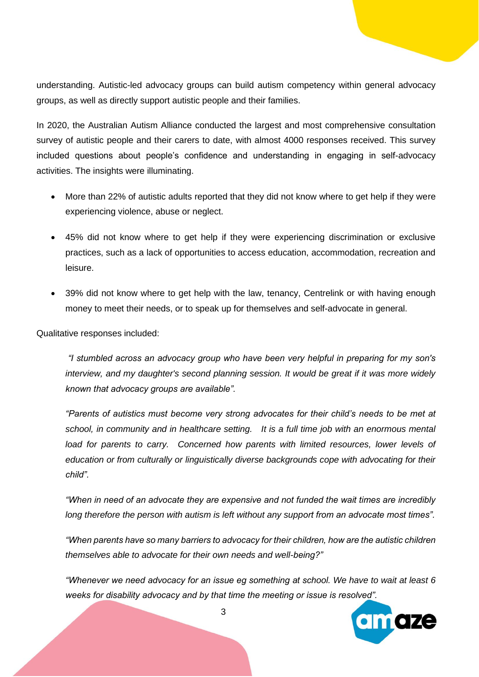understanding. Autistic-led advocacy groups can build autism competency within general advocacy groups, as well as directly support autistic people and their families.

In 2020, the Australian Autism Alliance conducted the largest and most comprehensive consultation survey of autistic people and their carers to date, with almost 4000 responses received. This survey included questions about people's confidence and understanding in engaging in self-advocacy activities. The insights were illuminating.

- More than 22% of autistic adults reported that they did not know where to get help if they were experiencing violence, abuse or neglect.
- 45% did not know where to get help if they were experiencing discrimination or exclusive practices, such as a lack of opportunities to access education, accommodation, recreation and leisure.
- 39% did not know where to get help with the law, tenancy, Centrelink or with having enough money to meet their needs, or to speak up for themselves and self-advocate in general.

Qualitative responses included:

*"I stumbled across an advocacy group who have been very helpful in preparing for my son's interview, and my daughter's second planning session. It would be great if it was more widely known that advocacy groups are available".* 

*"Parents of autistics must become very strong advocates for their child's needs to be met at school, in community and in healthcare setting. It is a full time job with an enormous mental*  load for parents to carry. Concerned how parents with limited resources, lower levels of *education or from culturally or linguistically diverse backgrounds cope with advocating for their child".*

*"When in need of an advocate they are expensive and not funded the wait times are incredibly long therefore the person with autism is left without any support from an advocate most times".*

*"When parents have so many barriers to advocacy for their children, how are the autistic children themselves able to advocate for their own needs and well-being?"*

*"Whenever we need advocacy for an issue eg something at school. We have to wait at least 6 weeks for disability advocacy and by that time the meeting or issue is resolved".*



3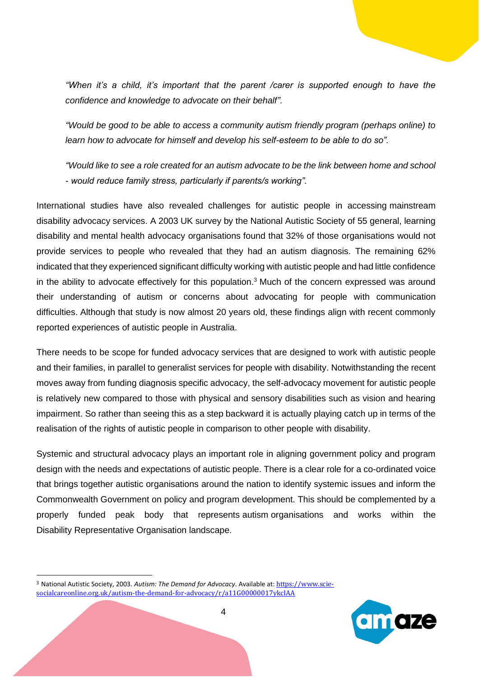*"When it's a child, it's important that the parent /carer is supported enough to have the confidence and knowledge to advocate on their behalf".*

*"Would be good to be able to access a community autism friendly program (perhaps online) to learn how to advocate for himself and develop his self-esteem to be able to do so".*

*"Would like to see a role created for an autism advocate to be the link between home and school - would reduce family stress, particularly if parents/s working".*

International studies have also revealed challenges for autistic people in accessing mainstream disability advocacy services. A 2003 UK survey by the National Autistic Society of 55 general, learning disability and mental health advocacy organisations found that 32% of those organisations would not provide services to people who revealed that they had an autism diagnosis. The remaining 62% indicated that they experienced significant difficulty working with autistic people and had little confidence in the ability to advocate effectively for this population.<sup>3</sup> Much of the concern expressed was around their understanding of autism or concerns about advocating for people with communication difficulties. Although that study is now almost 20 years old, these findings align with recent commonly reported experiences of autistic people in Australia.

There needs to be scope for funded advocacy services that are designed to work with autistic people and their families, in parallel to generalist services for people with disability. Notwithstanding the recent moves away from funding diagnosis specific advocacy, the self-advocacy movement for autistic people is relatively new compared to those with physical and sensory disabilities such as vision and hearing impairment. So rather than seeing this as a step backward it is actually playing catch up in terms of the realisation of the rights of autistic people in comparison to other people with disability.

Systemic and structural advocacy plays an important role in aligning government policy and program design with the needs and expectations of autistic people. There is a clear role for a co-ordinated voice that brings together autistic organisations around the nation to identify systemic issues and inform the Commonwealth Government on policy and program development. This should be complemented by a properly funded peak body that represents autism organisations and works within the Disability Representative Organisation landscape.

<sup>3</sup> National Autistic Society, 2003. *Autism: The Demand for Advocacy*. Available at: [https://www.scie](https://www.scie-socialcareonline.org.uk/autism-the-demand-for-advocacy/r/a11G00000017ykcIAA)[socialcareonline.org.uk/autism-the-demand-for-advocacy/r/a11G00000017ykcIAA](https://www.scie-socialcareonline.org.uk/autism-the-demand-for-advocacy/r/a11G00000017ykcIAA)